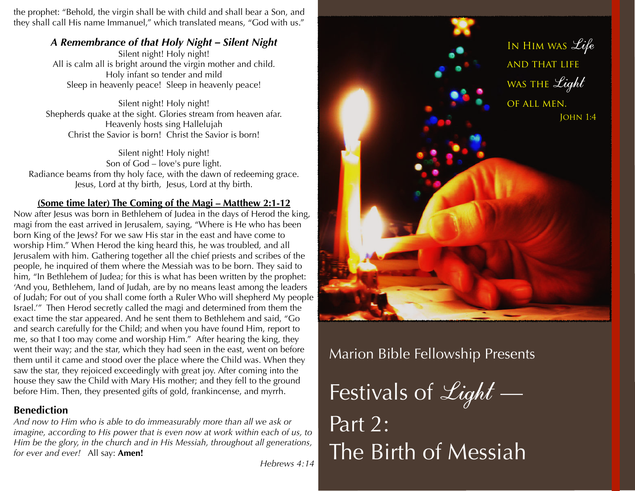the prophet: "Behold, the virgin shall be with child and shall bear a Son, and they shall call His name Immanuel," which translated means, "God with us."

# *A Remembrance of that Holy Night – Silent Night*

Silent night! Holy night! All is calm all is bright around the virgin mother and child. Holy infant so tender and mild Sleep in heavenly peace! Sleep in heavenly peace!

Silent night! Holy night! Shepherds quake at the sight. Glories stream from heaven afar. Heavenly hosts sing Hallelujah Christ the Savior is born! Christ the Savior is born!

Silent night! Holy night! Son of God – love's pure light. Radiance beams from thy holy face, with the dawn of redeeming grace. Jesus, Lord at thy birth, Jesus, Lord at thy birth.

# **(Some time later) The Coming of the Magi – Matthew 2:1-12**

Now after Jesus was born in Bethlehem of Judea in the days of Herod the king, magi from the east arrived in Jerusalem, saying, "Where is He who has been born King of the Jews? For we saw His star in the east and have come to worship Him." When Herod the king heard this, he was troubled, and all Jerusalem with him. Gathering together all the chief priests and scribes of the people, he inquired of them where the Messiah was to be born. They said to him, "In Bethlehem of Judea; for this is what has been written by the prophet: 'And you, Bethlehem, land of Judah, are by no means least among the leaders of Judah; For out of you shall come forth a Ruler Who will shepherd My people Israel.'" Then Herod secretly called the magi and determined from them the exact time the star appeared. And he sent them to Bethlehem and said, "Go and search carefully for the Child; and when you have found Him, report to me, so that I too may come and worship Him." After hearing the king, they went their way; and the star, which they had seen in the east, went on before them until it came and stood over the place where the Child was. When they saw the star, they rejoiced exceedingly with great joy. After coming into the house they saw the Child with Mary His mother; and they fell to the ground before Him. Then, they presented gifts of gold, frankincense, and myrrh.

# **Benediction**

*And now to Him who is able to do immeasurably more than all we ask or imagine, according to His power that is even now at work within each of us, to Him be the glory, in the church and in His Messiah, throughout all generations, for ever and ever!* All say: **Amen!**

*Hebrews 4:14*



Marion Bible Fellowship Presents

Festivals of  $\mathcal{L}\iota ght$  — Part 2: The Birth of Messiah